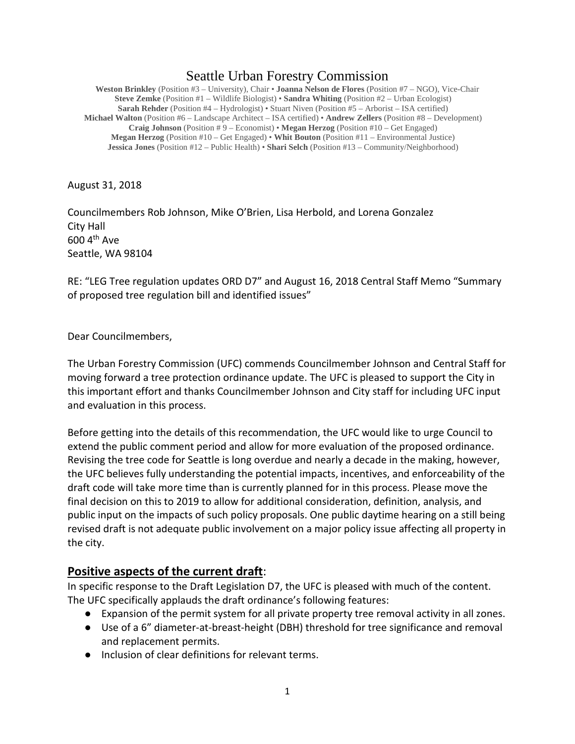# Seattle Urban Forestry Commission

**Weston Brinkley** (Position #3 – University), Chair • **Joanna Nelson de Flores** (Position #7 – NGO), Vice-Chair **Steve Zemke** (Position #1 – Wildlife Biologist) • **Sandra Whiting** (Position #2 – Urban Ecologist) **Sarah Rehder** (Position #4 – Hydrologist) • Stuart Niven (Position #5 – Arborist – ISA certified) **Michael Walton** (Position #6 – Landscape Architect – ISA certified) • **Andrew Zellers** (Position #8 – Development) **Craig Johnson** (Position # 9 – Economist) • **Megan Herzog** (Position #10 – Get Engaged) **Megan Herzog** (Position #10 – Get Engaged) • **Whit Bouton** (Position #11 – Environmental Justice) **Jessica Jones** (Position #12 – Public Health) • **Shari Selch** (Position #13 – Community/Neighborhood)

August 31, 2018

Councilmembers Rob Johnson, Mike O'Brien, Lisa Herbold, and Lorena Gonzalez City Hall 600 4th Ave Seattle, WA 98104

RE: "LEG Tree regulation updates ORD D7" and August 16, 2018 Central Staff Memo "Summary of proposed tree regulation bill and identified issues"

Dear Councilmembers,

The Urban Forestry Commission (UFC) commends Councilmember Johnson and Central Staff for moving forward a tree protection ordinance update. The UFC is pleased to support the City in this important effort and thanks Councilmember Johnson and City staff for including UFC input and evaluation in this process.

Before getting into the details of this recommendation, the UFC would like to urge Council to extend the public comment period and allow for more evaluation of the proposed ordinance. Revising the tree code for Seattle is long overdue and nearly a decade in the making, however, the UFC believes fully understanding the potential impacts, incentives, and enforceability of the draft code will take more time than is currently planned for in this process. Please move the final decision on this to 2019 to allow for additional consideration, definition, analysis, and public input on the impacts of such policy proposals. One public daytime hearing on a still being revised draft is not adequate public involvement on a major policy issue affecting all property in the city.

## **Positive aspects of the current draft**:

In specific response to the Draft Legislation D7, the UFC is pleased with much of the content. The UFC specifically applauds the draft ordinance's following features:

- Expansion of the permit system for all private property tree removal activity in all zones.
- Use of a 6" diameter-at-breast-height (DBH) threshold for tree significance and removal and replacement permits.
- Inclusion of clear definitions for relevant terms.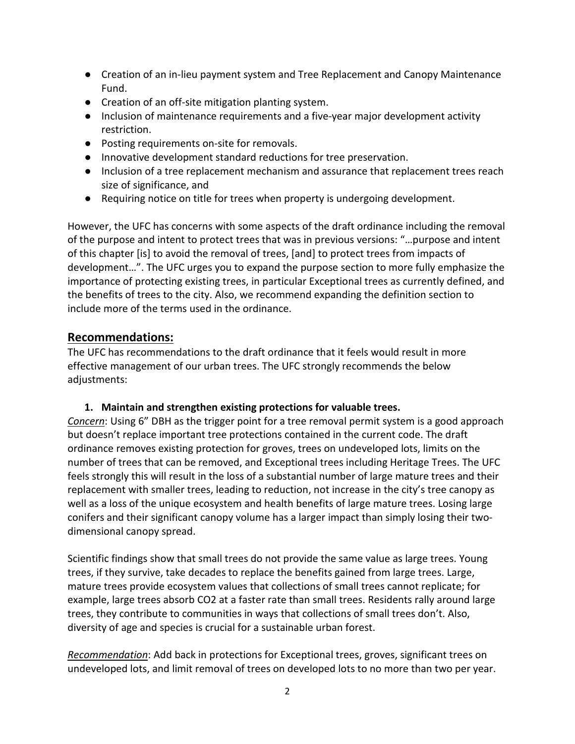- Creation of an in-lieu payment system and Tree Replacement and Canopy Maintenance Fund.
- Creation of an off-site mitigation planting system.
- Inclusion of maintenance requirements and a five-year major development activity restriction.
- Posting requirements on-site for removals.
- Innovative development standard reductions for tree preservation.
- Inclusion of a tree replacement mechanism and assurance that replacement trees reach size of significance, and
- Requiring notice on title for trees when property is undergoing development.

However, the UFC has concerns with some aspects of the draft ordinance including the removal of the purpose and intent to protect trees that was in previous versions: "…purpose and intent of this chapter [is] to avoid the removal of trees, [and] to protect trees from impacts of development…". The UFC urges you to expand the purpose section to more fully emphasize the importance of protecting existing trees, in particular Exceptional trees as currently defined, and the benefits of trees to the city. Also, we recommend expanding the definition section to include more of the terms used in the ordinance.

## **Recommendations:**

The UFC has recommendations to the draft ordinance that it feels would result in more effective management of our urban trees. The UFC strongly recommends the below adjustments:

## **1. Maintain and strengthen existing protections for valuable trees.**

*Concern*: Using 6" DBH as the trigger point for a tree removal permit system is a good approach but doesn't replace important tree protections contained in the current code. The draft ordinance removes existing protection for groves, trees on undeveloped lots, limits on the number of trees that can be removed, and Exceptional trees including Heritage Trees. The UFC feels strongly this will result in the loss of a substantial number of large mature trees and their replacement with smaller trees, leading to reduction, not increase in the city's tree canopy as well as a loss of the unique ecosystem and health benefits of large mature trees. Losing large conifers and their significant canopy volume has a larger impact than simply losing their twodimensional canopy spread.

Scientific findings show that small trees do not provide the same value as large trees. Young trees, if they survive, take decades to replace the benefits gained from large trees. Large, mature trees provide ecosystem values that collections of small trees cannot replicate; for example, large trees absorb CO2 at a faster rate than small trees. Residents rally around large trees, they contribute to communities in ways that collections of small trees don't. Also, diversity of age and species is crucial for a sustainable urban forest.

*Recommendation*: Add back in protections for Exceptional trees, groves, significant trees on undeveloped lots, and limit removal of trees on developed lots to no more than two per year.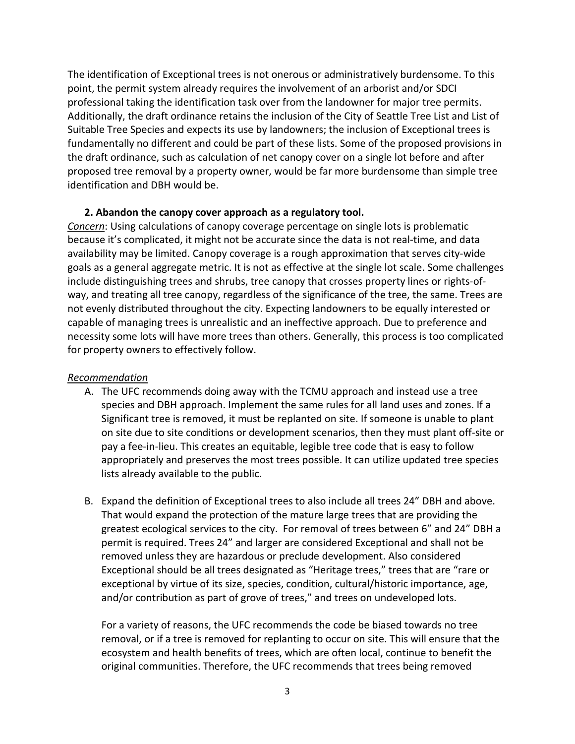The identification of Exceptional trees is not onerous or administratively burdensome. To this point, the permit system already requires the involvement of an arborist and/or SDCI professional taking the identification task over from the landowner for major tree permits. Additionally, the draft ordinance retains the inclusion of the City of Seattle Tree List and List of Suitable Tree Species and expects its use by landowners; the inclusion of Exceptional trees is fundamentally no different and could be part of these lists. Some of the proposed provisions in the draft ordinance, such as calculation of net canopy cover on a single lot before and after proposed tree removal by a property owner, would be far more burdensome than simple tree identification and DBH would be.

#### **2. Abandon the canopy cover approach as a regulatory tool.**

*Concern*: Using calculations of canopy coverage percentage on single lots is problematic because it's complicated, it might not be accurate since the data is not real-time, and data availability may be limited. Canopy coverage is a rough approximation that serves city-wide goals as a general aggregate metric. It is not as effective at the single lot scale. Some challenges include distinguishing trees and shrubs, tree canopy that crosses property lines or rights-ofway, and treating all tree canopy, regardless of the significance of the tree, the same. Trees are not evenly distributed throughout the city. Expecting landowners to be equally interested or capable of managing trees is unrealistic and an ineffective approach. Due to preference and necessity some lots will have more trees than others. Generally, this process is too complicated for property owners to effectively follow.

#### *Recommendation*

- A. The UFC recommends doing away with the TCMU approach and instead use a tree species and DBH approach. Implement the same rules for all land uses and zones. If a Significant tree is removed, it must be replanted on site. If someone is unable to plant on site due to site conditions or development scenarios, then they must plant off-site or pay a fee-in-lieu. This creates an equitable, legible tree code that is easy to follow appropriately and preserves the most trees possible. It can utilize updated tree species lists already available to the public.
- B. Expand the definition of Exceptional trees to also include all trees 24" DBH and above. That would expand the protection of the mature large trees that are providing the greatest ecological services to the city. For removal of trees between 6" and 24" DBH a permit is required. Trees 24" and larger are considered Exceptional and shall not be removed unless they are hazardous or preclude development. Also considered Exceptional should be all trees designated as "Heritage trees," trees that are "rare or exceptional by virtue of its size, species, condition, cultural/historic importance, age, and/or contribution as part of grove of trees," and trees on undeveloped lots.

For a variety of reasons, the UFC recommends the code be biased towards no tree removal, or if a tree is removed for replanting to occur on site. This will ensure that the ecosystem and health benefits of trees, which are often local, continue to benefit the original communities. Therefore, the UFC recommends that trees being removed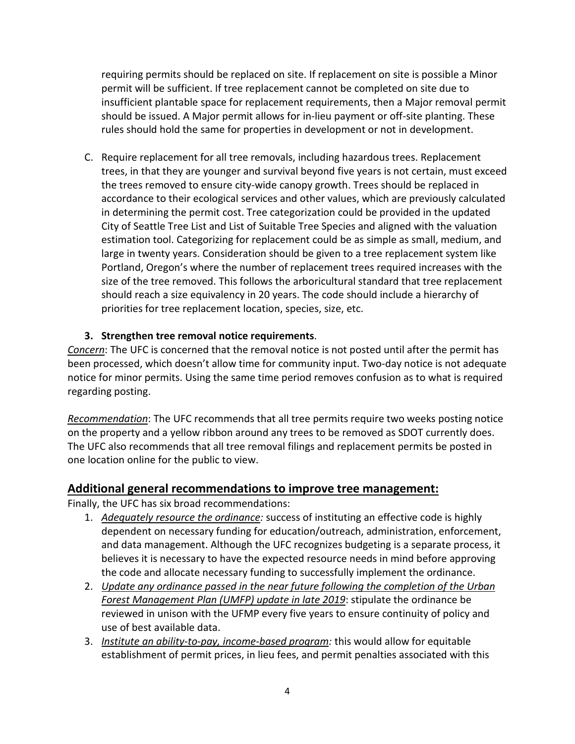requiring permits should be replaced on site. If replacement on site is possible a Minor permit will be sufficient. If tree replacement cannot be completed on site due to insufficient plantable space for replacement requirements, then a Major removal permit should be issued. A Major permit allows for in-lieu payment or off-site planting. These rules should hold the same for properties in development or not in development.

C. Require replacement for all tree removals, including hazardous trees. Replacement trees, in that they are younger and survival beyond five years is not certain, must exceed the trees removed to ensure city-wide canopy growth. Trees should be replaced in accordance to their ecological services and other values, which are previously calculated in determining the permit cost. Tree categorization could be provided in the updated City of Seattle Tree List and List of Suitable Tree Species and aligned with the valuation estimation tool. Categorizing for replacement could be as simple as small, medium, and large in twenty years. Consideration should be given to a tree replacement system like Portland, Oregon's where the number of replacement trees required increases with the size of the tree removed. This follows the arboricultural standard that tree replacement should reach a size equivalency in 20 years. The code should include a hierarchy of priorities for tree replacement location, species, size, etc.

## **3. Strengthen tree removal notice requirements**.

*Concern*: The UFC is concerned that the removal notice is not posted until after the permit has been processed, which doesn't allow time for community input. Two-day notice is not adequate notice for minor permits. Using the same time period removes confusion as to what is required regarding posting.

*Recommendation*: The UFC recommends that all tree permits require two weeks posting notice on the property and a yellow ribbon around any trees to be removed as SDOT currently does. The UFC also recommends that all tree removal filings and replacement permits be posted in one location online for the public to view.

## **Additional general recommendations to improve tree management:**

Finally, the UFC has six broad recommendations:

- 1. *Adequately resource the ordinance:* success of instituting an effective code is highly dependent on necessary funding for education/outreach, administration, enforcement, and data management. Although the UFC recognizes budgeting is a separate process, it believes it is necessary to have the expected resource needs in mind before approving the code and allocate necessary funding to successfully implement the ordinance.
- 2. *Update any ordinance passed in the near future following the completion of the Urban Forest Management Plan (UMFP) update in late 2019*: stipulate the ordinance be reviewed in unison with the UFMP every five years to ensure continuity of policy and use of best available data.
- 3. *Institute an ability-to-pay, income-based program:* this would allow for equitable establishment of permit prices, in lieu fees, and permit penalties associated with this